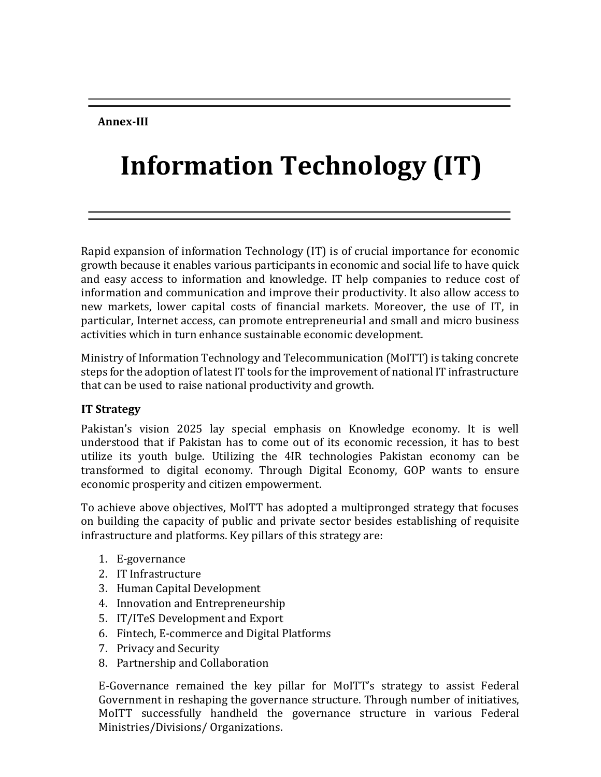#### **Annex-III**

# **Information Technology (IT)**

Rapid expansion of information Technology (IT) is of crucial importance for economic growth because it enables various participants in economic and social life to have quick and easy access to information and knowledge. IT help companies to reduce cost of information and communication and improve their productivity. It also allow access to new markets, lower capital costs of financial markets. Moreover, the use of IT, in particular, Internet access, can promote entrepreneurial and small and micro business activities which in turn enhance sustainable economic development.

Ministry of Information Technology and Telecommunication (MoITT) is taking concrete steps for the adoption of latest IT tools for the improvement of national IT infrastructure that can be used to raise national productivity and growth.

#### **IT Strategy**

Pakistan's vision 2025 lay special emphasis on Knowledge economy. It is well understood that if Pakistan has to come out of its economic recession, it has to best utilize its youth bulge. Utilizing the 4IR technologies Pakistan economy can be transformed to digital economy. Through Digital Economy, GOP wants to ensure economic prosperity and citizen empowerment.

To achieve above objectives, MoITT has adopted a multipronged strategy that focuses on building the capacity of public and private sector besides establishing of requisite infrastructure and platforms. Key pillars of this strategy are:

- 1. E-governance
- 2. IT Infrastructure
- 3. Human Capital Development
- 4. Innovation and Entrepreneurship
- 5. IT/ITeS Development and Export
- 6. Fintech, E-commerce and Digital Platforms
- 7. Privacy and Security
- 8. Partnership and Collaboration

E-Governance remained the key pillar for MoITT's strategy to assist Federal Government in reshaping the governance structure. Through number of initiatives, MoITT successfully handheld the governance structure in various Federal Ministries/Divisions/ Organizations.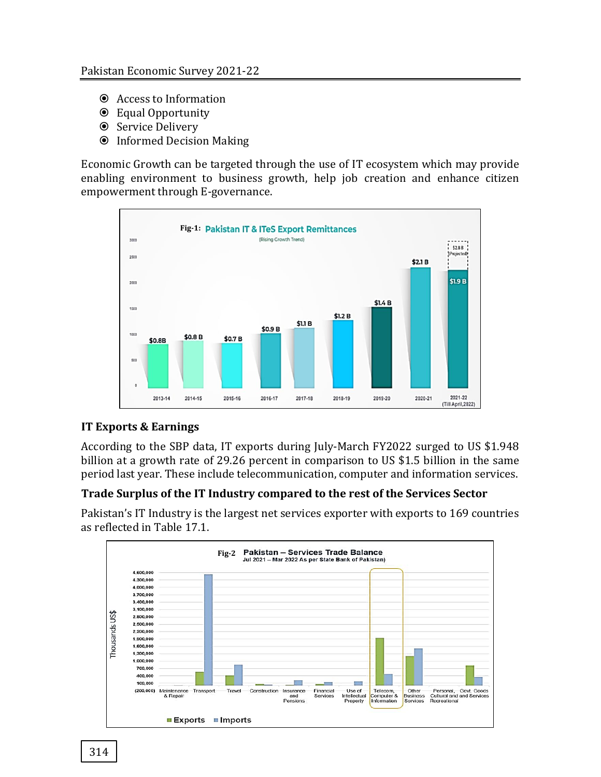- Access to Information
- Equal Opportunity
- **◎** Service Delivery
- Informed Decision Making

Economic Growth can be targeted through the use of IT ecosystem which may provide enabling environment to business growth, help job creation and enhance citizen empowerment through E-governance.



## **IT Exports & Earnings**

According to the SBP data, IT exports during July-March FY2022 surged to US \$1.948 billion at a growth rate of 29.26 percent in comparison to US \$1.5 billion in the same period last year. These include telecommunication, computer and information services.

## **Trade Surplus of the IT Industry compared to the rest of the Services Sector**

Pakistan's IT Industry is the largest net services exporter with exports to 169 countries as reflected in Table 17.1.

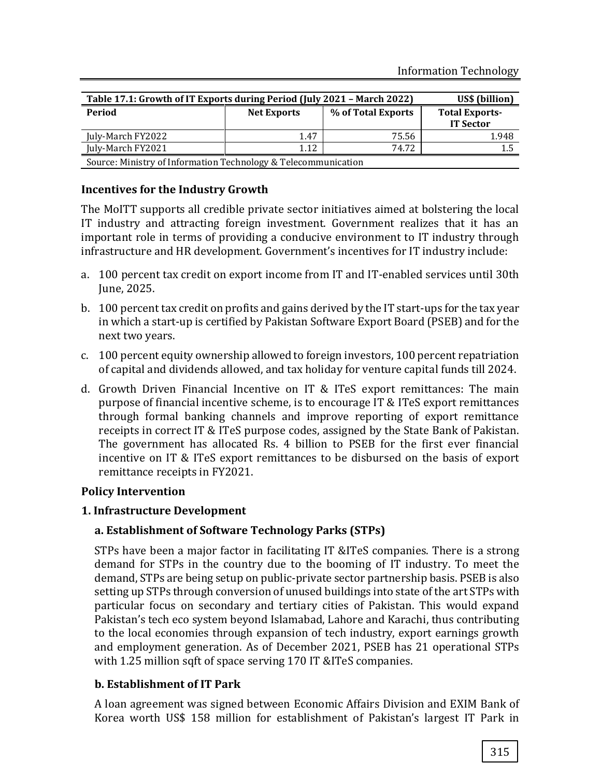| Table 17.1: Growth of IT Exports during Period (July 2021 - March 2022) | US\$ (billion)     |                    |                                           |
|-------------------------------------------------------------------------|--------------------|--------------------|-------------------------------------------|
| Period                                                                  | <b>Net Exports</b> | % of Total Exports | <b>Total Exports-</b><br><b>IT Sector</b> |
| July-March FY2022                                                       | 1.47               | 75.56              | 1.948                                     |
| July-March FY2021<br>74.72<br>1.12<br>1.5                               |                    |                    |                                           |
| Source: Ministry of Information Technology & Telecommunication          |                    |                    |                                           |

#### **Incentives for the Industry Growth**

The MoITT supports all credible private sector initiatives aimed at bolstering the local IT industry and attracting foreign investment. Government realizes that it has an important role in terms of providing a conducive environment to IT industry through infrastructure and HR development. Government's incentives for IT industry include:

- a. 100 percent tax credit on export income from IT and IT-enabled services until 30th June, 2025.
- b. 100 percent tax credit on profits and gains derived by the IT start-ups for the tax year in which a start-up is certified by Pakistan Software Export Board (PSEB) and for the next two years.
- c. 100 percent equity ownership allowed to foreign investors, 100 percent repatriation of capital and dividends allowed, and tax holiday for venture capital funds till 2024.
- d. Growth Driven Financial Incentive on IT & ITeS export remittances: The main purpose of financial incentive scheme, is to encourage IT & ITeS export remittances through formal banking channels and improve reporting of export remittance receipts in correct IT & ITeS purpose codes, assigned by the State Bank of Pakistan. The government has allocated Rs. 4 billion to PSEB for the first ever financial incentive on IT & ITeS export remittances to be disbursed on the basis of export remittance receipts in FY2021.

#### **Policy Intervention**

#### **1. Infrastructure Development**

#### **a. Establishment of Software Technology Parks (STPs)**

STPs have been a major factor in facilitating IT &ITeS companies. There is a strong demand for STPs in the country due to the booming of IT industry. To meet the demand, STPs are being setup on public-private sector partnership basis. PSEB is also setting up STPs through conversion of unused buildings into state of the art STPs with particular focus on secondary and tertiary cities of Pakistan. This would expand Pakistan's tech eco system beyond Islamabad, Lahore and Karachi, thus contributing to the local economies through expansion of tech industry, export earnings growth and employment generation. As of December 2021, PSEB has 21 operational STPs with 1.25 million sqft of space serving 170 IT &ITeS companies.

#### **b. Establishment of IT Park**

A loan agreement was signed between Economic Affairs Division and EXIM Bank of Korea worth US\$ 158 million for establishment of Pakistan's largest IT Park in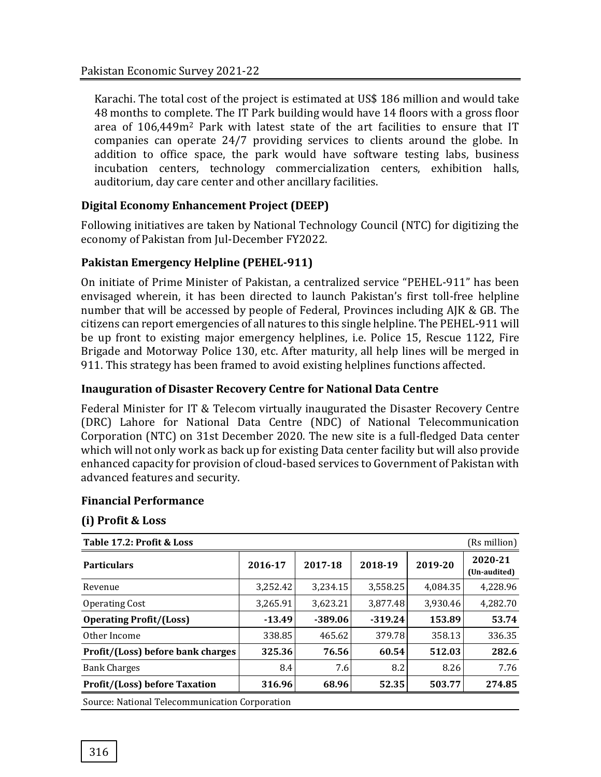Karachi. The total cost of the project is estimated at US\$ 186 million and would take 48 months to complete. The IT Park building would have 14 floors with a gross floor area of 106,449m<sup>2</sup> Park with latest state of the art facilities to ensure that IT companies can operate 24/7 providing services to clients around the globe. In addition to office space, the park would have software testing labs, business incubation centers, technology commercialization centers, exhibition halls, auditorium, day care center and other ancillary facilities.

## **Digital Economy Enhancement Project (DEEP)**

Following initiatives are taken by National Technology Council (NTC) for digitizing the economy of Pakistan from Jul-December FY2022.

### **Pakistan Emergency Helpline (PEHEL-911)**

On initiate of Prime Minister of Pakistan, a centralized service "PEHEL-911" has been envisaged wherein, it has been directed to launch Pakistan's first toll-free helpline number that will be accessed by people of Federal, Provinces including AJK & GB. The citizens can report emergencies of all natures to this single helpline. The PEHEL-911 will be up front to existing major emergency helplines, i.e. Police 15, Rescue 1122, Fire Brigade and Motorway Police 130, etc. After maturity, all help lines will be merged in 911. This strategy has been framed to avoid existing helplines functions affected.

#### **Inauguration of Disaster Recovery Centre for National Data Centre**

Federal Minister for IT & Telecom virtually inaugurated the Disaster Recovery Centre (DRC) Lahore for National Data Centre (NDC) of National Telecommunication Corporation (NTC) on 31st December 2020. The new site is a full-fledged Data center which will not only work as back up for existing Data center facility but will also provide enhanced capacity for provision of cloud-based services to Government of Pakistan with advanced features and security.

#### **Financial Performance**

#### **(i) Profit & Loss**

| Table 17.2: Profit & Loss<br>(Rs million)      |          |           |           |          |                         |
|------------------------------------------------|----------|-----------|-----------|----------|-------------------------|
| <b>Particulars</b>                             | 2016-17  | 2017-18   | 2018-19   | 2019-20  | 2020-21<br>(Un-audited) |
| Revenue                                        | 3.252.42 | 3,234.15  | 3.558.25  | 4,084.35 | 4,228.96                |
| <b>Operating Cost</b>                          | 3,265.91 | 3,623.21  | 3,877.48  | 3,930.46 | 4,282.70                |
| <b>Operating Profit/(Loss)</b>                 | $-13.49$ | $-389.06$ | $-319.24$ | 153.89   | 53.74                   |
| Other Income                                   | 338.85   | 465.62    | 379.78    | 358.13   | 336.35                  |
| Profit/(Loss) before bank charges              | 325.36   | 76.56     | 60.54     | 512.03   | 282.6                   |
| <b>Bank Charges</b>                            | 8.4      | 7.6       | 8.2       | 8.26     | 7.76                    |
| <b>Profit/(Loss) before Taxation</b>           | 316.96   | 68.96     | 52.35     | 503.77   | 274.85                  |
| Source: National Telecommunication Corporation |          |           |           |          |                         |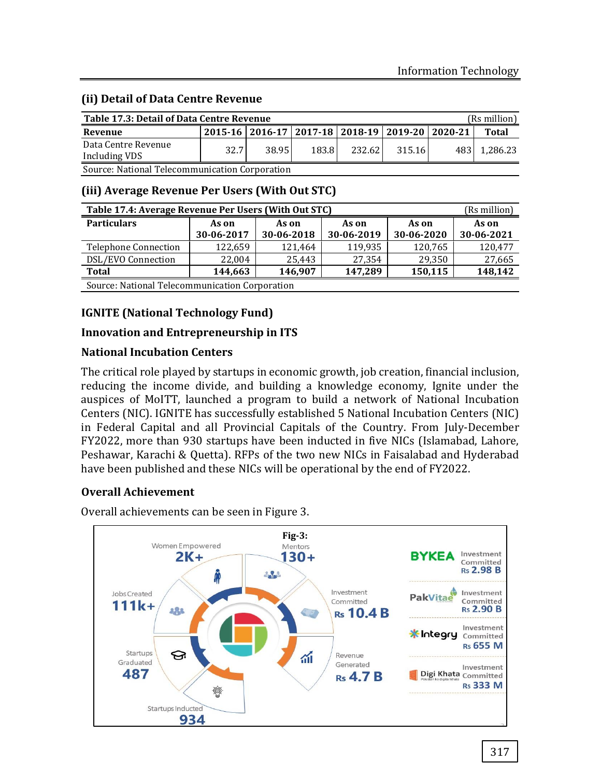#### **(ii) Detail of Data Centre Revenue**

| Table 17.3: Detail of Data Centre Revenue<br>(Rs million) |      |       |                                                           |         |        |  |              |
|-----------------------------------------------------------|------|-------|-----------------------------------------------------------|---------|--------|--|--------------|
| Revenue                                                   |      |       | 2015-16   2016-17   2017-18   2018-19   2019-20   2020-21 |         |        |  | Total        |
| Data Centre Revenue<br>Including VDS                      | 32.7 | 38.95 | 183.8                                                     | 232.621 | 315.16 |  | 483 1.286.23 |

Source: National Telecommunication Corporation

### **(iii) Average Revenue Per Users (With Out STC)**

| Table 17.4: Average Revenue Per Users (With Out STC)<br>(Rs million) |                     |                     |                     |                     |                     |
|----------------------------------------------------------------------|---------------------|---------------------|---------------------|---------------------|---------------------|
| <b>Particulars</b>                                                   | As on<br>30-06-2017 | As on<br>30-06-2018 | As on<br>30-06-2019 | As on<br>30-06-2020 | As on<br>30-06-2021 |
| <b>Telephone Connection</b>                                          | 122,659             | 121,464             | 119,935             | 120,765             | 120,477             |
| DSL/EVO Connection                                                   | 22.004              | 25,443              | 27,354              | 29,350              | 27,665              |
| 148,142<br>150,115<br><b>Total</b><br>147,289<br>144,663<br>146,907  |                     |                     |                     |                     |                     |
| Source: National Telecommunication Corporation                       |                     |                     |                     |                     |                     |

## **IGNITE (National Technology Fund)**

#### **Innovation and Entrepreneurship in ITS**

#### **National Incubation Centers**

The critical role played by startups in economic growth, job creation, financial inclusion, reducing the income divide, and building a knowledge economy, Ignite under the auspices of MoITT, launched a program to build a network of National Incubation Centers (NIC). IGNITE has successfully established 5 National Incubation Centers (NIC) in Federal Capital and all Provincial Capitals of the Country. From July-December FY2022, more than 930 startups have been inducted in five NICs (Islamabad, Lahore, Peshawar, Karachi & Quetta). RFPs of the two new NICs in Faisalabad and Hyderabad have been published and these NICs will be operational by the end of FY2022.

#### **Overall Achievement**

Overall achievements can be seen in Figure 3.

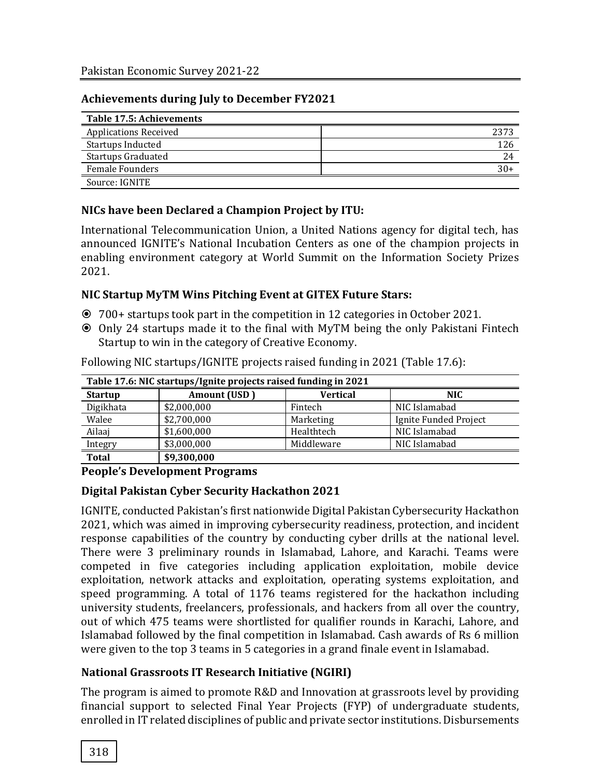#### **Achievements during July to December FY2021**

| Table 17.5: Achievements     |       |
|------------------------------|-------|
| <b>Applications Received</b> | 2373  |
| Startups Inducted            | 126   |
| <b>Startups Graduated</b>    | 24    |
| <b>Female Founders</b>       | $30+$ |
| Source: IGNITE               |       |

#### **NICs have been Declared a Champion Project by ITU:**

International Telecommunication Union, a United Nations agency for digital tech, has announced IGNITE's National Incubation Centers as one of the champion projects in enabling environment category at World Summit on the Information Society Prizes 2021.

#### **NIC Startup MyTM Wins Pitching Event at GITEX Future Stars:**

- 700+ startups took part in the competition in 12 categories in October 2021.
- Only 24 startups made it to the final with MyTM being the only Pakistani Fintech Startup to win in the category of Creative Economy.

| Table 17.6: NIC startups/Ignite projects raised funding in 2021 |              |                 |                       |
|-----------------------------------------------------------------|--------------|-----------------|-----------------------|
| <b>Startup</b>                                                  | Amount (USD) | <b>Vertical</b> | <b>NIC</b>            |
| Digikhata                                                       | \$2,000,000  | Fintech         | NIC Islamabad         |
| Walee                                                           | \$2,700,000  | Marketing       | Ignite Funded Project |
| Ailaaj                                                          | \$1,600,000  | Healthtech      | NIC Islamabad         |
| Integry                                                         | \$3,000,000  | Middleware      | NIC Islamabad         |
| <b>Total</b>                                                    | \$9,300,000  |                 |                       |

Following NIC startups/IGNITE projects raised funding in 2021 (Table 17.6):

#### **People's Development Programs**

#### **Digital Pakistan Cyber Security Hackathon 2021**

IGNITE, conducted Pakistan's first nationwide Digital Pakistan Cybersecurity Hackathon 2021, which was aimed in improving cybersecurity readiness, protection, and incident response capabilities of the country by conducting cyber drills at the national level. There were 3 preliminary rounds in Islamabad, Lahore, and Karachi. Teams were competed in five categories including application exploitation, mobile device exploitation, network attacks and exploitation, operating systems exploitation, and speed programming. A total of 1176 teams registered for the hackathon including university students, freelancers, professionals, and hackers from all over the country, out of which 475 teams were shortlisted for qualifier rounds in Karachi, Lahore, and Islamabad followed by the final competition in Islamabad. Cash awards of Rs 6 million were given to the top 3 teams in 5 categories in a grand finale event in Islamabad.

#### **National Grassroots IT Research Initiative (NGIRI)**

The program is aimed to promote R&D and Innovation at grassroots level by providing financial support to selected Final Year Projects (FYP) of undergraduate students, enrolled in IT related disciplines of public and private sector institutions. Disbursements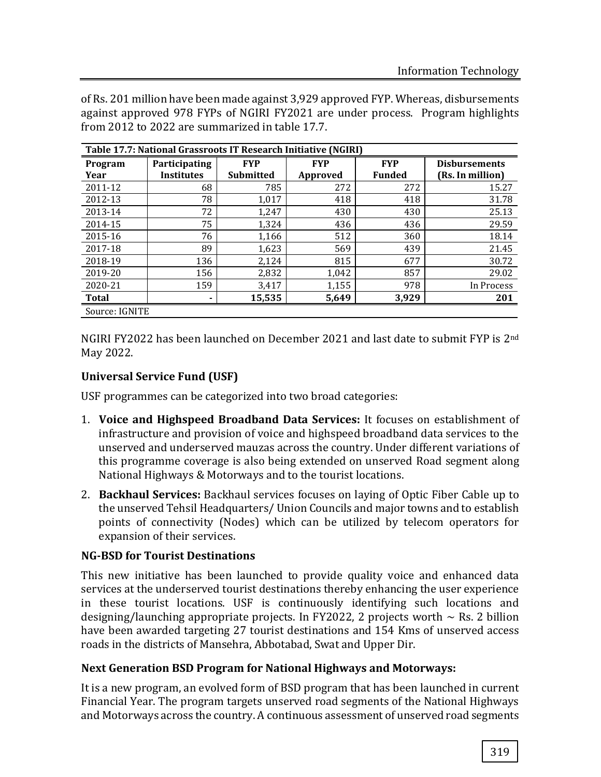of Rs. 201 million have been made against 3,929 approved FYP. Whereas, disbursements against approved 978 FYPs of NGIRI FY2021 are under process. Program highlights from 2012 to 2022 are summarized in table 17.7.

| Table 17.7: National Grassroots IT Research Initiative (NGIRI) |                   |                  |            |               |                      |
|----------------------------------------------------------------|-------------------|------------------|------------|---------------|----------------------|
| Program                                                        | Participating     | <b>FYP</b>       | <b>FYP</b> | <b>FYP</b>    | <b>Disbursements</b> |
| Year                                                           | <b>Institutes</b> | <b>Submitted</b> | Approved   | <b>Funded</b> | (Rs. In million)     |
| 2011-12                                                        | 68                | 785              | 272        | 272           | 15.27                |
| 2012-13                                                        | 78                | 1,017            | 418        | 418           | 31.78                |
| 2013-14                                                        | 72                | 1,247            | 430        | 430           | 25.13                |
| 2014-15                                                        | 75                | 1,324            | 436        | 436           | 29.59                |
| 2015-16                                                        | 76                | 1,166            | 512        | 360           | 18.14                |
| 2017-18                                                        | 89                | 1,623            | 569        | 439           | 21.45                |
| 2018-19                                                        | 136               | 2,124            | 815        | 677           | 30.72                |
| 2019-20                                                        | 156               | 2,832            | 1,042      | 857           | 29.02                |
| 2020-21                                                        | 159               | 3,417            | 1,155      | 978           | In Process           |
| <b>Total</b>                                                   | ٠                 | 15,535           | 5,649      | 3,929         | 201                  |
| Source: IGNITE                                                 |                   |                  |            |               |                      |

NGIRI FY2022 has been launched on December 2021 and last date to submit FYP is 2nd May 2022.

## **Universal Service Fund (USF)**

USF programmes can be categorized into two broad categories:

- 1. **Voice and Highspeed Broadband Data Services:** It focuses on establishment of infrastructure and provision of voice and highspeed broadband data services to the unserved and underserved mauzas across the country. Under different variations of this programme coverage is also being extended on unserved Road segment along National Highways & Motorways and to the tourist locations.
- 2. **Backhaul Services:** Backhaul services focuses on laying of Optic Fiber Cable up to the unserved Tehsil Headquarters/ Union Councils and major towns and to establish points of connectivity (Nodes) which can be utilized by telecom operators for expansion of their services.

## **NG-BSD for Tourist Destinations**

This new initiative has been launched to provide quality voice and enhanced data services at the underserved tourist destinations thereby enhancing the user experience in these tourist locations. USF is continuously identifying such locations and designing/launching appropriate projects. In FY2022, 2 projects worth  $\sim$  Rs. 2 billion have been awarded targeting 27 tourist destinations and 154 Kms of unserved access roads in the districts of Mansehra, Abbotabad, Swat and Upper Dir.

#### **Next Generation BSD Program for National Highways and Motorways:**

It is a new program, an evolved form of BSD program that has been launched in current Financial Year. The program targets unserved road segments of the National Highways and Motorways across the country. A continuous assessment of unserved road segments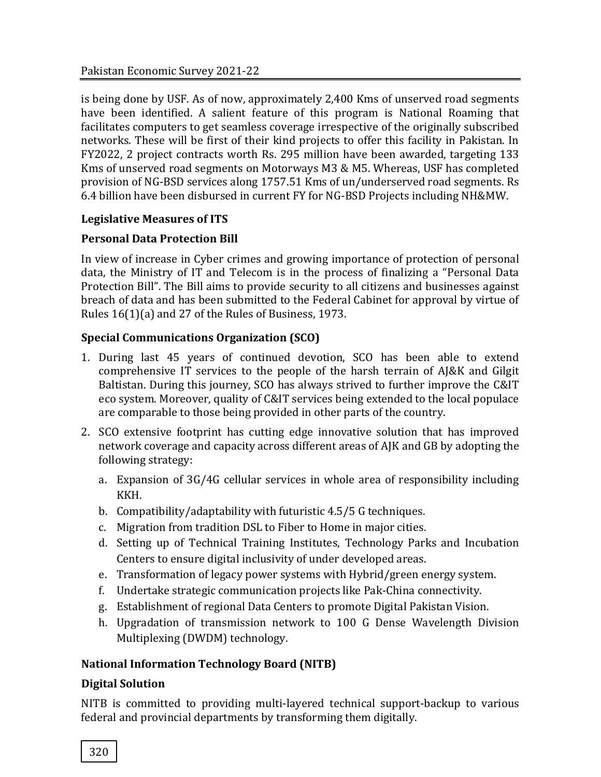is being done by USF. As of now, approximately 2,400 Kms of unserved road segments have been identified. A salient feature of this program is National Roaming that facilitates computers to get seamless coverage irrespective of the originally subscribed networks. These will be first of their kind projects to offer this facility in Pakistan. In FY2022, 2 project contracts worth Rs. 295 million have been awarded, targeting 133 Kms of unserved road segments on Motorways M3 & M5. Whereas, USF has completed provision of NG-BSD services along 1757.51 Kms of un/underserved road segments. Rs 6.4 billion have been disbursed in current FY for NG-BSD Projects including NH&MW.

## **Legislative Measures of ITS**

## **Personal Data Protection Bill**

In view of increase in Cyber crimes and growing importance of protection of personal data, the Ministry of IT and Telecom is in the process of finalizing a "Personal Data Protection Bill". The Bill aims to provide security to all citizens and businesses against breach of data and has been submitted to the Federal Cabinet for approval by virtue of Rules 16(1)(a) and 27 of the Rules of Business, 1973.

# **Special Communications Organization (SCO)**

- 1. During last 45 years of continued devotion, SCO has been able to extend comprehensive IT services to the people of the harsh terrain of AJ&K and Gilgit Baltistan. During this journey, SCO has always strived to further improve the C&IT eco system. Moreover, quality of C&IT services being extended to the local populace are comparable to those being provided in other parts of the country.
- 2. SCO extensive footprint has cutting edge innovative solution that has improved network coverage and capacity across different areas of AJK and GB by adopting the following strategy:
	- a. Expansion of 3G/4G cellular services in whole area of responsibility including KKH.
	- b. Compatibility/adaptability with futuristic 4.5/5 G techniques.
	- c. Migration from tradition DSL to Fiber to Home in major cities.
	- d. Setting up of Technical Training Institutes, Technology Parks and Incubation Centers to ensure digital inclusivity of under developed areas.
	- e. Transformation of legacy power systems with Hybrid/green energy system.
	- f. Undertake strategic communication projects like Pak-China connectivity.
	- g. Establishment of regional Data Centers to promote Digital Pakistan Vision.
	- h. Upgradation of transmission network to 100 G Dense Wavelength Division Multiplexing (DWDM) technology.

# **National Information Technology Board (NITB)**

# **Digital Solution**

NITB is committed to providing multi-layered technical support-backup to various federal and provincial departments by transforming them digitally.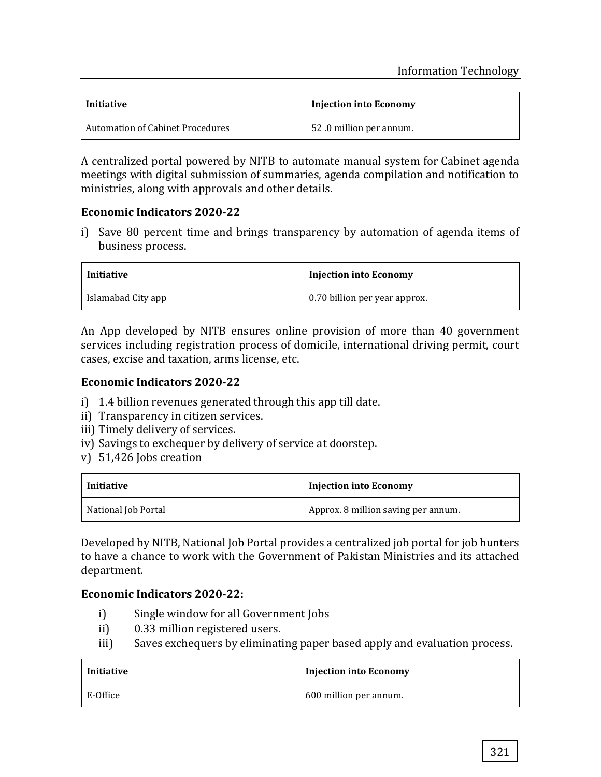| <b>Initiative</b>                       | <b>Injection into Economy</b> |
|-----------------------------------------|-------------------------------|
| <b>Automation of Cabinet Procedures</b> | 52.0 million per annum.       |

A centralized portal powered by NITB to automate manual system for Cabinet agenda meetings with digital submission of summaries, agenda compilation and notification to ministries, along with approvals and other details.

### **Economic Indicators 2020-22**

i) Save 80 percent time and brings transparency by automation of agenda items of business process.

| Initiative         | <b>Injection into Economy</b> |
|--------------------|-------------------------------|
| Islamabad City app | 0.70 billion per year approx. |

An App developed by NITB ensures online provision of more than 40 government services including registration process of domicile, international driving permit, court cases, excise and taxation, arms license, etc.

#### **Economic Indicators 2020-22**

- i) 1.4 billion revenues generated through this app till date.
- ii) Transparency in citizen services.
- iii) Timely delivery of services.
- iv) Savings to exchequer by delivery of service at doorstep.
- v) 51,426 Jobs creation

| Initiative          | <b>Injection into Economy</b>       |
|---------------------|-------------------------------------|
| National Job Portal | Approx. 8 million saving per annum. |

Developed by NITB, National Job Portal provides a centralized job portal for job hunters to have a chance to work with the Government of Pakistan Ministries and its attached department.

## **Economic Indicators 2020-22:**

- i) Single window for all Government Jobs
- ii) 0.33 million registered users.
- iii) Saves exchequers by eliminating paper based apply and evaluation process.

| Initiative | <b>Injection into Economy</b> |
|------------|-------------------------------|
| E-Office   | 600 million per annum.        |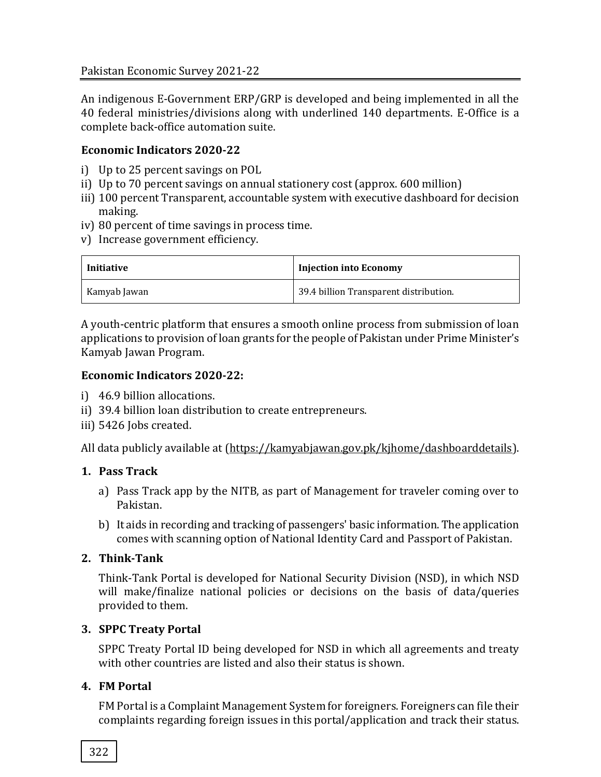An indigenous E-Government ERP/GRP is developed and being implemented in all the 40 federal ministries/divisions along with underlined 140 departments. E-Office is a complete back-office automation suite.

## **Economic Indicators 2020-22**

- i) Up to 25 percent savings on POL
- ii) Up to 70 percent savings on annual stationery cost (approx. 600 million)
- iii) 100 percent Transparent, accountable system with executive dashboard for decision making.
- iv) 80 percent of time savings in process time.
- v) Increase government efficiency.

| Initiative   | <b>Injection into Economy</b>          |
|--------------|----------------------------------------|
| Kamyab Jawan | 39.4 billion Transparent distribution. |

A youth-centric platform that ensures a smooth online process from submission of loan applications to provision of loan grants for the people of Pakistan under Prime Minister's Kamyab Jawan Program.

### **Economic Indicators 2020-22:**

- i) 46.9 billion allocations.
- ii) 39.4 billion loan distribution to create entrepreneurs.
- iii) 5426 Jobs created.

All data publicly available at [\(https://kamyabjawan.gov.pk/kjhome/dashboarddetails\)](https://kamyabjawan.gov.pk/kjhome/dashboarddetails).

## **1. Pass Track**

- a) Pass Track app by the NITB, as part of Management for traveler coming over to Pakistan.
- b) It aids in recording and tracking of passengers' basic information. The application comes with scanning option of National Identity Card and Passport of Pakistan.

## **2. Think-Tank**

Think-Tank Portal is developed for National Security Division (NSD), in which NSD will make/finalize national policies or decisions on the basis of data/queries provided to them.

## **3. SPPC Treaty Portal**

SPPC Treaty Portal ID being developed for NSD in which all agreements and treaty with other countries are listed and also their status is shown.

## **4. FM Portal**

FM Portal is a Complaint Management System for foreigners. Foreigners can file their complaints regarding foreign issues in this portal/application and track their status.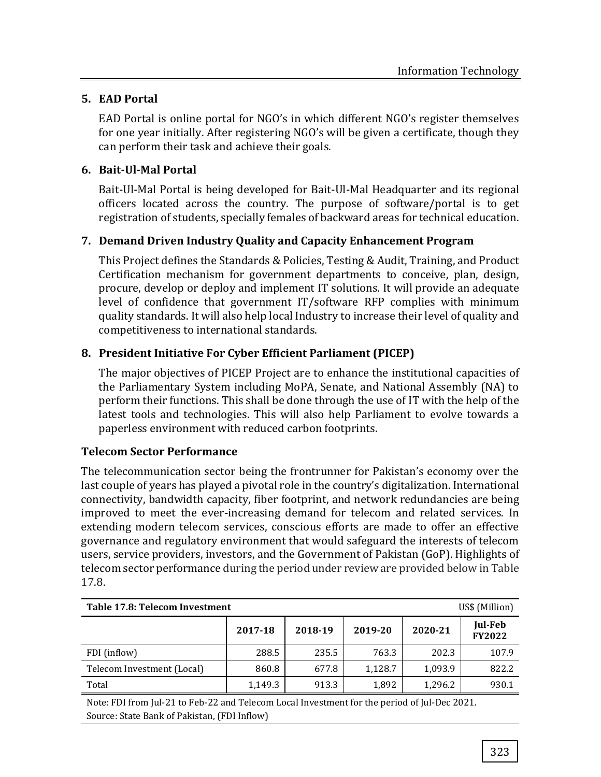# **5. EAD Portal**

EAD Portal is online portal for NGO's in which different NGO's register themselves for one year initially. After registering NGO's will be given a certificate, though they can perform their task and achieve their goals.

# **6. Bait-Ul-Mal Portal**

Bait-Ul-Mal Portal is being developed for Bait-Ul-Mal Headquarter and its regional officers located across the country. The purpose of software/portal is to get registration of students, specially females of backward areas for technical education.

# **7. Demand Driven Industry Quality and Capacity Enhancement Program**

This Project defines the Standards & Policies, Testing & Audit, Training, and Product Certification mechanism for government departments to conceive, plan, design, procure, develop or deploy and implement IT solutions. It will provide an adequate level of confidence that government IT/software RFP complies with minimum quality standards. It will also help local Industry to increase their level of quality and competitiveness to international standards.

# **8. President Initiative For Cyber Efficient Parliament (PICEP)**

The major objectives of PICEP Project are to enhance the institutional capacities of the Parliamentary System including MoPA, Senate, and National Assembly (NA) to perform their functions. This shall be done through the use of IT with the help of the latest tools and technologies. This will also help Parliament to evolve towards a paperless environment with reduced carbon footprints.

# **Telecom Sector Performance**

The telecommunication sector being the frontrunner for Pakistan's economy over the last couple of years has played a pivotal role in the country's digitalization. International connectivity, bandwidth capacity, fiber footprint, and network redundancies are being improved to meet the ever-increasing demand for telecom and related services. In extending modern telecom services, conscious efforts are made to offer an effective governance and regulatory environment that would safeguard the interests of telecom users, service providers, investors, and the Government of Pakistan (GoP). Highlights of telecom sector performance during the period under review are provided below in Table 17.8.

| US\$ (Million)<br>Table 17.8: Telecom Investment |         |         |         |         |                          |
|--------------------------------------------------|---------|---------|---------|---------|--------------------------|
|                                                  | 2017-18 | 2018-19 | 2019-20 | 2020-21 | Jul-Feb<br><b>FY2022</b> |
| FDI (inflow)                                     | 288.5   | 235.5   | 763.3   | 202.3   | 107.9                    |
| Telecom Investment (Local)                       | 860.8   | 677.8   | 1.128.7 | 1,093.9 | 822.2                    |
| Total                                            | 1,149.3 | 913.3   | 1,892   | 1.296.2 | 930.1                    |

Note: FDI from Jul-21 to Feb-22 and Telecom Local Investment for the period of Jul-Dec 2021. Source: State Bank of Pakistan, (FDI Inflow)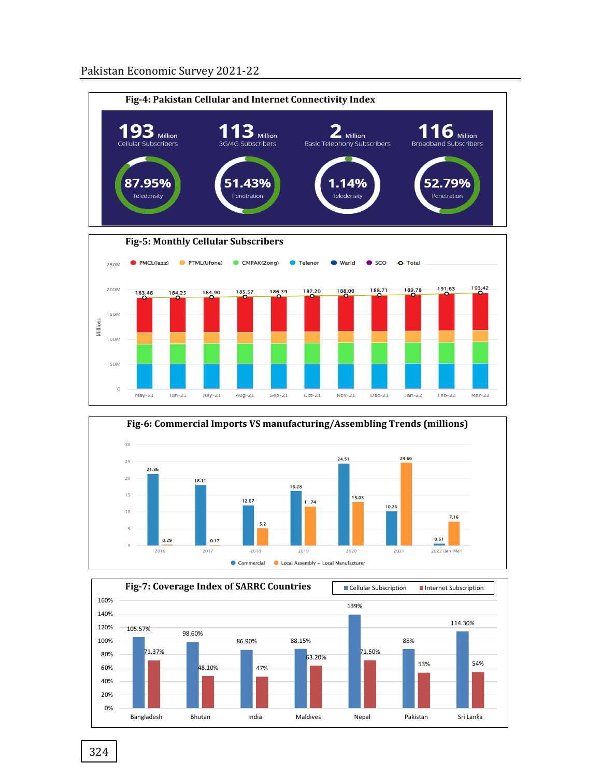



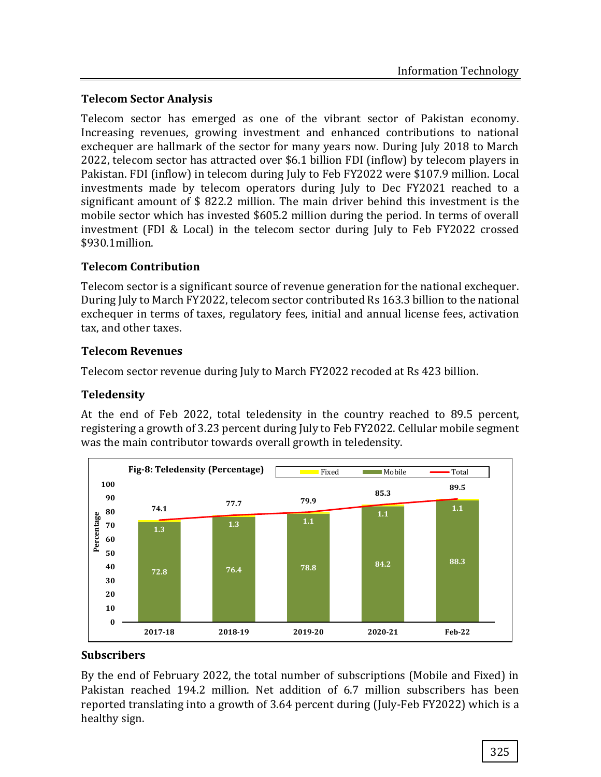## **Telecom Sector Analysis**

Telecom sector has emerged as one of the vibrant sector of Pakistan economy. Increasing revenues, growing investment and enhanced contributions to national exchequer are hallmark of the sector for many years now. During July 2018 to March 2022, telecom sector has attracted over \$6.1 billion FDI (inflow) by telecom players in Pakistan. FDI (inflow) in telecom during July to Feb FY2022 were \$107.9 million. Local investments made by telecom operators during July to Dec FY2021 reached to a significant amount of \$ 822.2 million. The main driver behind this investment is the mobile sector which has invested \$605.2 million during the period. In terms of overall investment (FDI & Local) in the telecom sector during July to Feb FY2022 crossed \$930.1million.

# **Telecom Contribution**

Telecom sector is a significant source of revenue generation for the national exchequer. During July to March FY2022, telecom sector contributed Rs 163.3 billion to the national exchequer in terms of taxes, regulatory fees, initial and annual license fees, activation tax, and other taxes.

## **Telecom Revenues**

Telecom sector revenue during July to March FY2022 recoded at Rs 423 billion.

## **Teledensity**

At the end of Feb 2022, total teledensity in the country reached to 89.5 percent, registering a growth of 3.23 percent during July to Feb FY2022. Cellular mobile segment was the main contributor towards overall growth in teledensity.



## **Subscribers**

By the end of February 2022, the total number of subscriptions (Mobile and Fixed) in Pakistan reached 194.2 million. Net addition of 6.7 million subscribers has been reported translating into a growth of 3.64 percent during (July-Feb FY2022) which is a healthy sign.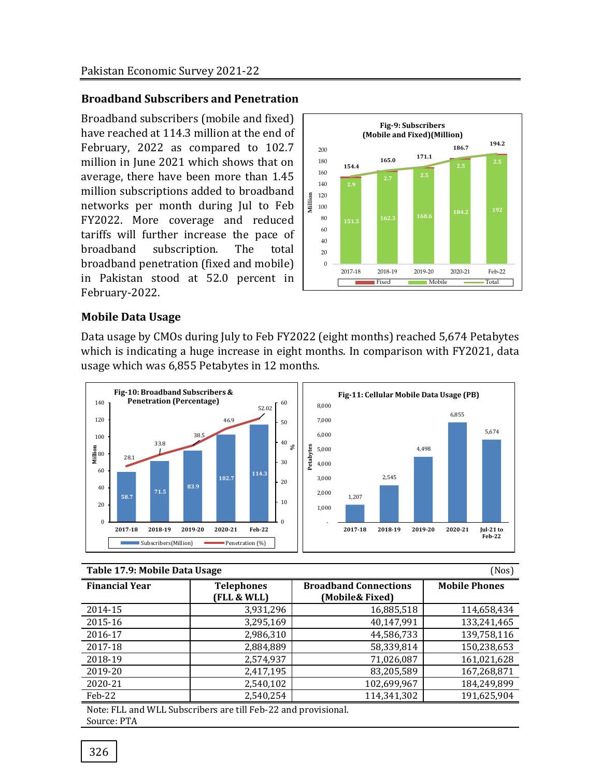#### **Broadband Subscribers and Penetration**

Broadband subscribers (mobile and fixed) have reached at 114.3 million at the end of February, 2022 as compared to 102.7 million in June 2021 which shows that on average, there have been more than 1.45 million subscriptions added to broadband networks per month during Jul to Feb FY2022. More coverage and reduced tariffs will further increase the pace of broadband subscription. The total broadband penetration (fixed and mobile) in Pakistan stood at 52.0 percent in February-2022.



#### **Mobile Data Usage**

Data usage by CMOs during July to Feb FY2022 (eight months) reached 5,674 Petabytes which is indicating a huge increase in eight months. In comparison with FY2021, data usage which was 6,855 Petabytes in 12 months.



#### **Table 17.9: Mobile Data Usage** (Nos)

| 1 apre 1717, Prophe Dum obuLe<br>,,,,,, |                                  |                                                 |                      |  |
|-----------------------------------------|----------------------------------|-------------------------------------------------|----------------------|--|
| <b>Financial Year</b>                   | <b>Telephones</b><br>(FLL & WLL) | <b>Broadband Connections</b><br>(Mobile& Fixed) | <b>Mobile Phones</b> |  |
| 2014-15                                 | 3,931,296                        | 16,885,518                                      | 114,658,434          |  |
| 2015-16                                 | 3,295,169                        | 40,147,991                                      | 133,241,465          |  |
| 2016-17                                 | 2,986,310                        | 44,586,733                                      | 139,758,116          |  |
| 2017-18                                 | 2,884,889                        | 58,339,814                                      | 150,238,653          |  |
| 2018-19                                 | 2,574,937                        | 71,026,087                                      | 161,021,628          |  |
| 2019-20                                 | 2,417,195                        | 83,205,589                                      | 167,268,871          |  |
| 2020-21                                 | 2,540,102                        | 102,699,967                                     | 184,249,899          |  |
| Feb-22                                  | 2,540,254                        | 114,341,302                                     | 191,625,904          |  |

Note: FLL and WLL Subscribers are till Feb-22 and provisional. Source: PTA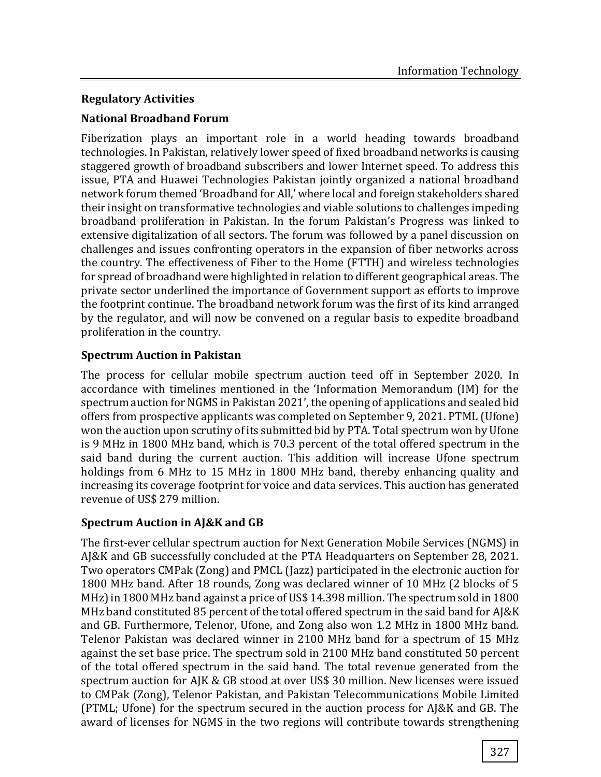## **Regulatory Activities**

## **National Broadband Forum**

Fiberization plays an important role in a world heading towards broadband technologies. In Pakistan, relatively lower speed of fixed broadband networks is causing staggered growth of broadband subscribers and lower Internet speed. To address this issue, PTA and Huawei Technologies Pakistan jointly organized a national broadband network forum themed 'Broadband for All,' where local and foreign stakeholders shared their insight on transformative technologies and viable solutions to challenges impeding broadband proliferation in Pakistan. In the forum Pakistan's Progress was linked to extensive digitalization of all sectors. The forum was followed by a panel discussion on challenges and issues confronting operators in the expansion of fiber networks across the country. The effectiveness of Fiber to the Home (FTTH) and wireless technologies for spread of broadband were highlighted in relation to different geographical areas. The private sector underlined the importance of Government support as efforts to improve the footprint continue. The broadband network forum was the first of its kind arranged by the regulator, and will now be convened on a regular basis to expedite broadband proliferation in the country.

# **Spectrum Auction in Pakistan**

The process for cellular mobile spectrum auction teed off in September 2020. In accordance with timelines mentioned in the 'Information Memorandum (IM) for the spectrum auction for NGMS in Pakistan 2021', the opening of applications and sealed bid offers from prospective applicants was completed on September 9, 2021. PTML (Ufone) won the auction upon scrutiny of its submitted bid by PTA. Total spectrum won by Ufone is 9 MHz in 1800 MHz band, which is 70.3 percent of the total offered spectrum in the said band during the current auction. This addition will increase Ufone spectrum holdings from 6 MHz to 15 MHz in 1800 MHz band, thereby enhancing quality and increasing its coverage footprint for voice and data services. This auction has generated revenue of US\$ 279 million.

## **Spectrum Auction in AJ&K and GB**

The first-ever cellular spectrum auction for Next Generation Mobile Services (NGMS) in AJ&K and GB successfully concluded at the PTA Headquarters on September 28, 2021. Two operators CMPak (Zong) and PMCL (Jazz) participated in the electronic auction for 1800 MHz band. After 18 rounds, Zong was declared winner of 10 MHz (2 blocks of 5 MHz) in 1800 MHz band against a price of US\$ 14.398 million. The spectrum sold in 1800 MHz band constituted 85 percent of the total offered spectrum in the said band for AJ&K and GB. Furthermore, Telenor, Ufone, and Zong also won 1.2 MHz in 1800 MHz band. Telenor Pakistan was declared winner in 2100 MHz band for a spectrum of 15 MHz against the set base price. The spectrum sold in 2100 MHz band constituted 50 percent of the total offered spectrum in the said band. The total revenue generated from the spectrum auction for AJK & GB stood at over US\$ 30 million. New licenses were issued to CMPak (Zong), Telenor Pakistan, and Pakistan Telecommunications Mobile Limited (PTML; Ufone) for the spectrum secured in the auction process for AJ&K and GB. The award of licenses for NGMS in the two regions will contribute towards strengthening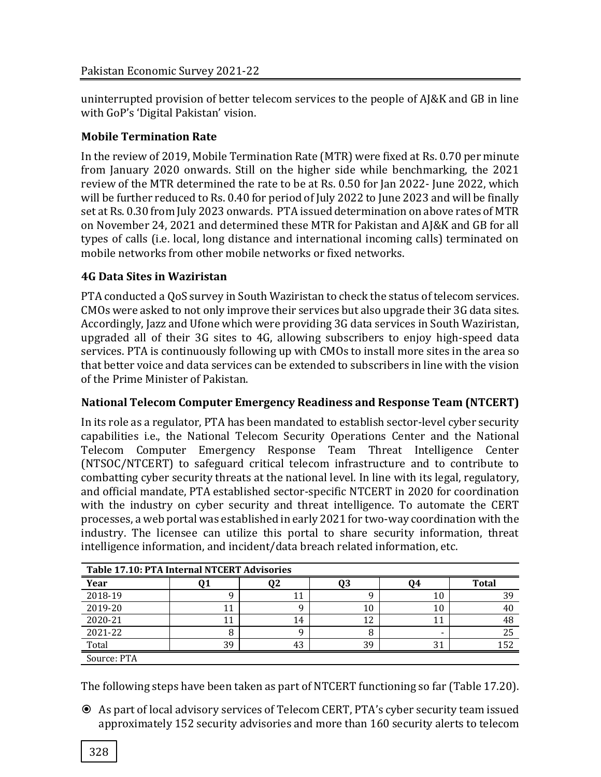uninterrupted provision of better telecom services to the people of AJ&K and GB in line with GoP's 'Digital Pakistan' vision.

## **Mobile Termination Rate**

In the review of 2019, Mobile Termination Rate (MTR) were fixed at Rs. 0.70 per minute from January 2020 onwards. Still on the higher side while benchmarking, the 2021 review of the MTR determined the rate to be at Rs. 0.50 for Jan 2022- June 2022, which will be further reduced to Rs. 0.40 for period of July 2022 to June 2023 and will be finally set at Rs. 0.30 from July 2023 onwards. PTA issued determination on above rates of MTR on November 24, 2021 and determined these MTR for Pakistan and AJ&K and GB for all types of calls (i.e. local, long distance and international incoming calls) terminated on mobile networks from other mobile networks or fixed networks.

## **4G Data Sites in Waziristan**

PTA conducted a QoS survey in South Waziristan to check the status of telecom services. CMOs were asked to not only improve their services but also upgrade their 3G data sites. Accordingly, Jazz and Ufone which were providing 3G data services in South Waziristan, upgraded all of their 3G sites to 4G, allowing subscribers to enjoy high-speed data services. PTA is continuously following up with CMOs to install more sites in the area so that better voice and data services can be extended to subscribers in line with the vision of the Prime Minister of Pakistan.

## **National Telecom Computer Emergency Readiness and Response Team (NTCERT)**

In its role as a regulator, PTA has been mandated to establish sector-level cyber security capabilities i.e., the National Telecom Security Operations Center and the National Telecom Computer Emergency Response Team Threat Intelligence Center (NTSOC/NTCERT) to safeguard critical telecom infrastructure and to contribute to combatting cyber security threats at the national level. In line with its legal, regulatory, and official mandate, PTA established sector-specific NTCERT in 2020 for coordination with the industry on cyber security and threat intelligence. To automate the CERT processes, a web portal was established in early 2021 for two-way coordination with the industry. The licensee can utilize this portal to share security information, threat intelligence information, and incident/data breach related information, etc.

| Table 17.10: PTA Internal NTCERT Advisories |    |    |    |    |              |
|---------------------------------------------|----|----|----|----|--------------|
| Year                                        |    |    |    | 94 | <b>Total</b> |
| 2018-19                                     |    |    |    |    | 39           |
| 2019-20                                     |    |    | 10 |    |              |
| 2020-21                                     |    | 14 | ി  |    | 48           |
| 2021-22                                     |    |    |    |    | 25           |
| Total                                       | 39 | 43 | 39 | ີ  | 152          |
| Source: PTA                                 |    |    |    |    |              |

The following steps have been taken as part of NTCERT functioning so far (Table 17.20).

 As part of local advisory services of Telecom CERT, PTA's cyber security team issued approximately 152 security advisories and more than 160 security alerts to telecom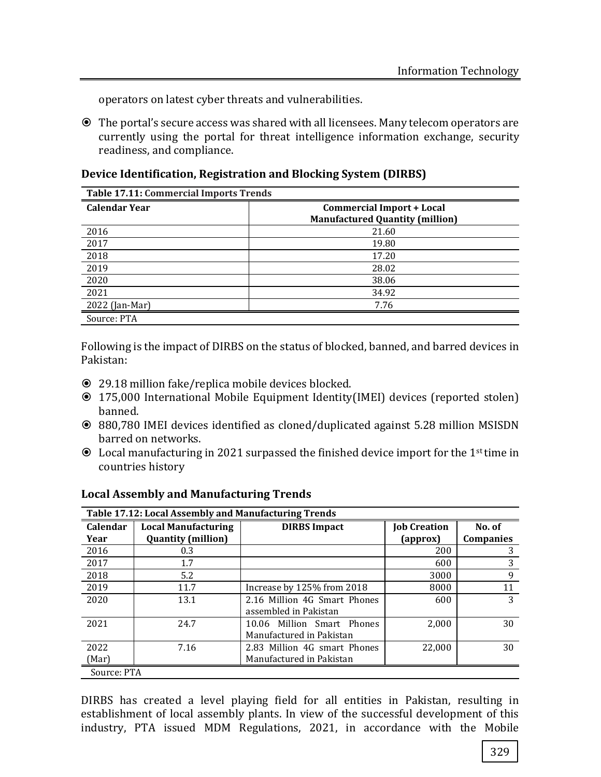operators on latest cyber threats and vulnerabilities.

 The portal's secure access was shared with all licensees. Many telecom operators are currently using the portal for threat intelligence information exchange, security readiness, and compliance.

**Device Identification, Registration and Blocking System (DIRBS)**

| <b>Table 17.11: Commercial Imports Trends</b> |                                        |  |  |
|-----------------------------------------------|----------------------------------------|--|--|
| <b>Calendar Year</b>                          | <b>Commercial Import + Local</b>       |  |  |
|                                               | <b>Manufactured Quantity (million)</b> |  |  |
| 2016                                          | 21.60                                  |  |  |
| 2017                                          | 19.80                                  |  |  |
| 2018                                          | 17.20                                  |  |  |
| 2019                                          | 28.02                                  |  |  |
| 2020                                          | 38.06                                  |  |  |
| 2021                                          | 34.92                                  |  |  |
| 2022 (Jan-Mar)                                | 7.76                                   |  |  |
| Source: PTA                                   |                                        |  |  |

Following is the impact of DIRBS on the status of blocked, banned, and barred devices in Pakistan:

- 29.18 million fake/replica mobile devices blocked.
- 175,000 International Mobile Equipment Identity(IMEI) devices (reported stolen) banned.
- 880,780 IMEI devices identified as cloned/duplicated against 5.28 million MSISDN barred on networks.
- Local manufacturing in 2021 surpassed the finished device import for the 1st time in countries history

| Table 17.12: Local Assembly and Manufacturing Trends |                                                         |                              |                     |                  |
|------------------------------------------------------|---------------------------------------------------------|------------------------------|---------------------|------------------|
| Calendar<br>Year                                     | <b>Local Manufacturing</b><br><b>Quantity (million)</b> | <b>DIRBS</b> Impact          | <b>Job Creation</b> | No. of           |
|                                                      |                                                         |                              | (approx)            | <b>Companies</b> |
| 2016                                                 | 0.3                                                     |                              | 200                 | 3                |
| 2017                                                 | 1.7                                                     |                              | 600                 | 3                |
| 2018                                                 | 5.2                                                     |                              | 3000                | 9                |
| 2019                                                 | 11.7                                                    | Increase by 125% from 2018   | 8000                | 11               |
| 2020                                                 | 13.1                                                    | 2.16 Million 4G Smart Phones | 600                 | 3                |
|                                                      |                                                         | assembled in Pakistan        |                     |                  |
| 2021                                                 | 24.7                                                    | 10.06 Million Smart Phones   | 2,000               | 30               |
|                                                      |                                                         | Manufactured in Pakistan     |                     |                  |
| 2022                                                 | 7.16                                                    | 2.83 Million 4G smart Phones | 22,000              | 30               |
| (Mar)                                                |                                                         | Manufactured in Pakistan     |                     |                  |
| Source: PTA                                          |                                                         |                              |                     |                  |

#### **Local Assembly and Manufacturing Trends**

DIRBS has created a level playing field for all entities in Pakistan, resulting in establishment of local assembly plants. In view of the successful development of this industry, PTA issued MDM Regulations, 2021, in accordance with the Mobile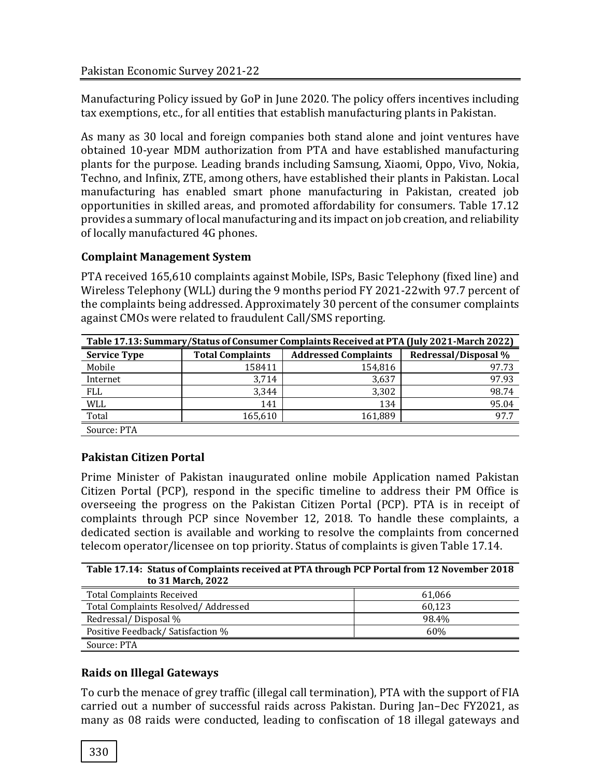Manufacturing Policy issued by GoP in June 2020. The policy offers incentives including tax exemptions, etc., for all entities that establish manufacturing plants in Pakistan.

As many as 30 local and foreign companies both stand alone and joint ventures have obtained 10-year MDM authorization from PTA and have established manufacturing plants for the purpose. Leading brands including Samsung, Xiaomi, Oppo, Vivo, Nokia, Techno, and Infinix, ZTE, among others, have established their plants in Pakistan. Local manufacturing has enabled smart phone manufacturing in Pakistan, created job opportunities in skilled areas, and promoted affordability for consumers. Table 17.12 provides a summary of local manufacturing and its impact on job creation, and reliability of locally manufactured 4G phones.

## **Complaint Management System**

PTA received 165,610 complaints against Mobile, ISPs, Basic Telephony (fixed line) and Wireless Telephony (WLL) during the 9 months period FY 2021-22with 97.7 percent of the complaints being addressed. Approximately 30 percent of the consumer complaints against CMOs were related to fraudulent Call/SMS reporting.

| Table 17.13: Summary/Status of Consumer Complaints Received at PTA (July 2021-March 2022) |                         |                             |                      |
|-------------------------------------------------------------------------------------------|-------------------------|-----------------------------|----------------------|
| <b>Service Type</b>                                                                       | <b>Total Complaints</b> | <b>Addressed Complaints</b> | Redressal/Disposal % |
| Mobile                                                                                    | 158411                  | 154,816                     | 97.73                |
| Internet                                                                                  | 3.714                   | 3,637                       | 97.93                |
| <b>FLL</b>                                                                                | 3.344                   | 3,302                       | 98.74                |
| <b>WLL</b>                                                                                | 141                     | 134                         | 95.04                |
| Total                                                                                     | 165,610                 | 161,889                     | 97.7                 |
| Source: PTA                                                                               |                         |                             |                      |

# **Pakistan Citizen Portal**

Prime Minister of Pakistan inaugurated online mobile Application named Pakistan Citizen Portal (PCP), respond in the specific timeline to address their PM Office is overseeing the progress on the Pakistan Citizen Portal (PCP). PTA is in receipt of complaints through PCP since November 12, 2018. To handle these complaints, a dedicated section is available and working to resolve the complaints from concerned telecom operator/licensee on top priority. Status of complaints is given Table 17.14.

| Table 17.14: Status of Complaints received at PTA through PCP Portal from 12 November 2018<br>to 31 March, 2022 |        |  |  |
|-----------------------------------------------------------------------------------------------------------------|--------|--|--|
| <b>Total Complaints Received</b>                                                                                | 61,066 |  |  |
| Total Complaints Resolved/Addressed                                                                             | 60,123 |  |  |
| Redressal/Disposal %                                                                                            | 98.4%  |  |  |
| Positive Feedback/ Satisfaction %<br>60%                                                                        |        |  |  |
| Source: PTA                                                                                                     |        |  |  |

# **Raids on Illegal Gateways**

To curb the menace of grey traffic (illegal call termination), PTA with the support of FIA carried out a number of successful raids across Pakistan. During Jan–Dec FY2021, as many as 08 raids were conducted, leading to confiscation of 18 illegal gateways and